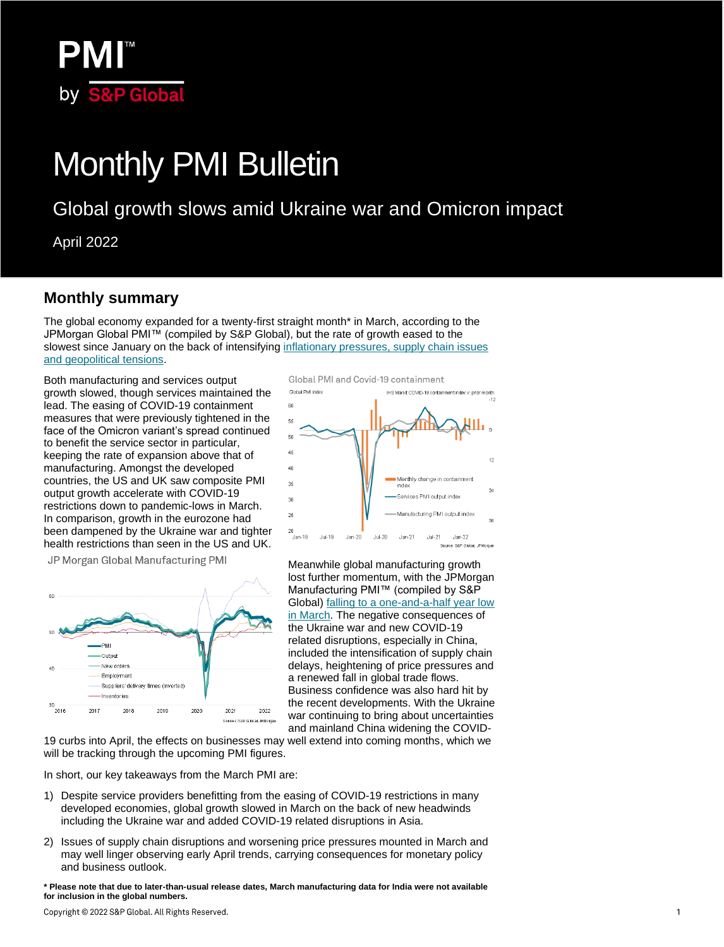

# Monthly PMI Bulletin

# Global growth slows amid Ukraine war and Omicron impact

April 2022

### **Monthly summary**

The global economy expanded for a twenty-first straight month\* in March, according to the JPMorgan Global PMI™ (compiled by S&P Global), but the rate of growth eased to the slowest since January on the back of intensifying [inflationary pressures, supply chain issues](https://ihsmarkit.com/research-analysis/global-growth-slows-as-boost-from-pandemicreopening-is-offset-by-ukraine-war-and-omicron-Apr22.html)  [and geopolitical tensions.](https://ihsmarkit.com/research-analysis/global-growth-slows-as-boost-from-pandemicreopening-is-offset-by-ukraine-war-and-omicron-Apr22.html)

Both manufacturing and services output growth slowed, though services maintained the lead. The easing of COVID-19 containment measures that were previously tightened in the face of the Omicron variant's spread continued to benefit the service sector in particular, keeping the rate of expansion above that of manufacturing. Amongst the developed countries, the US and UK saw composite PMI output growth accelerate with COVID-19 restrictions down to pandemic-lows in March. In comparison, growth in the eurozone had been dampened by the Ukraine war and tighter health restrictions than seen in the US and UK.

JP Morgan Global Manufacturing PMI





Meanwhile global manufacturing growth lost further momentum, with the JPMorgan Manufacturing PMI™ (compiled by S&P Global) [falling to a one-and-a-half year low](https://ihsmarkit.com/research-analysis/pmi-at-18month-low-as-manufacturing-disrupted-by-ukraine-war-and-omicron-wave-Apr22.html)  [in March.](https://ihsmarkit.com/research-analysis/pmi-at-18month-low-as-manufacturing-disrupted-by-ukraine-war-and-omicron-wave-Apr22.html) The negative consequences of the Ukraine war and new COVID-19 related disruptions, especially in China, included the intensification of supply chain delays, heightening of price pressures and a renewed fall in global trade flows. Business confidence was also hard hit by the recent developments. With the Ukraine war continuing to bring about uncertainties and mainland China widening the COVID-

19 curbs into April, the effects on businesses may well extend into coming months, which we will be tracking through the upcoming PMI figures.

In short, our key takeaways from the March PMI are:

- 1) Despite service providers benefitting from the easing of COVID-19 restrictions in many developed economies, global growth slowed in March on the back of new headwinds including the Ukraine war and added COVID-19 related disruptions in Asia.
- 2) Issues of supply chain disruptions and worsening price pressures mounted in March and may well linger observing early April trends, carrying consequences for monetary policy and business outlook.

**\* Please note that due to later-than-usual release dates, March manufacturing data for India were not available for inclusion in the global numbers.**

Copyright @ 2022 S&P Global. All Rights Reserved.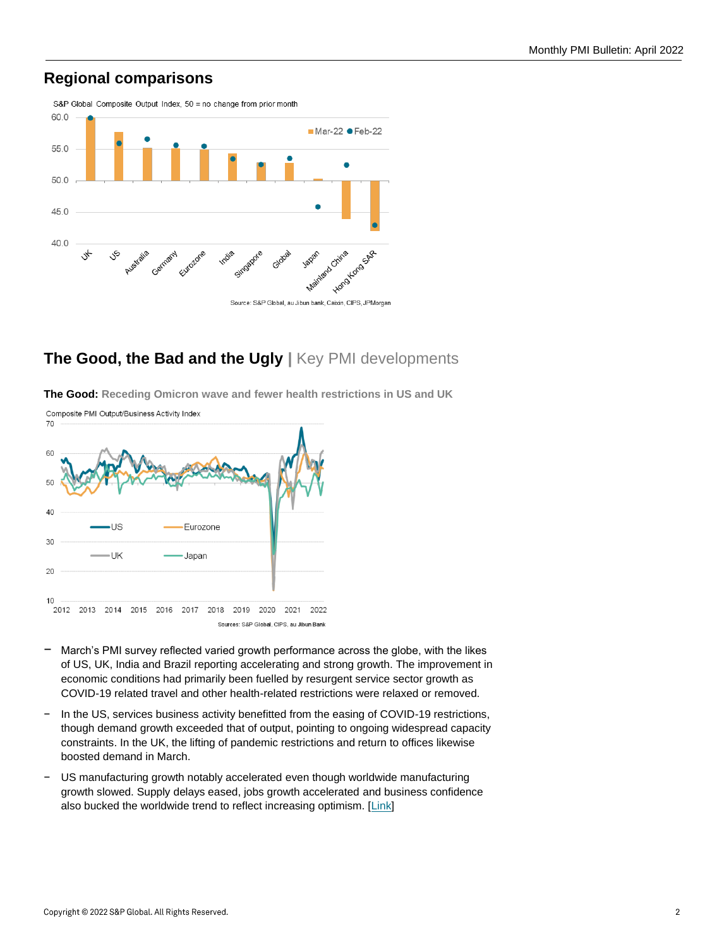## **Regional comparisons**



## **The Good, the Bad and the Ugly |** Key PMI developments

**The Good: Receding Omicron wave and fewer health restrictions in US and UK**



- − March's PMI survey reflected varied growth performance across the globe, with the likes of US, UK, India and Brazil reporting accelerating and strong growth. The improvement in economic conditions had primarily been fuelled by resurgent service sector growth as COVID-19 related travel and other health-related restrictions were relaxed or removed.
- − In the US, services business activity benefitted from the easing of COVID-19 restrictions, though demand growth exceeded that of output, pointing to ongoing widespread capacity constraints. In the UK, the lifting of pandemic restrictions and return to offices likewise boosted demand in March.
- − US manufacturing growth notably accelerated even though worldwide manufacturing growth slowed. Supply delays eased, jobs growth accelerated and business confidence also bucked the worldwide trend to reflect increasing optimism. [\[Link\]](https://ihsmarkit.com/research-analysis/us-producers-report-strong-end-to-first-quarter-despite-ukraine-war-impact-Apr22.html)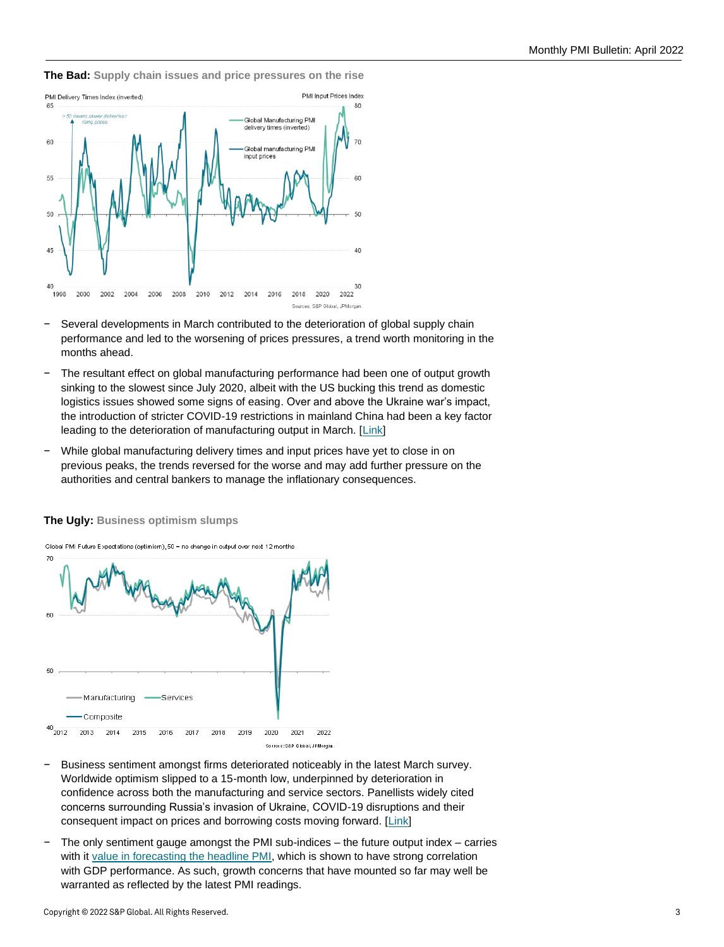

**The Bad: Supply chain issues and price pressures on the rise**

- Several developments in March contributed to the deterioration of global supply chain performance and led to the worsening of prices pressures, a trend worth monitoring in the months ahead.
- − The resultant effect on global manufacturing performance had been one of output growth sinking to the slowest since July 2020, albeit with the US bucking this trend as domestic logistics issues showed some signs of easing. Over and above the Ukraine war's impact, the introduction of stricter COVID-19 restrictions in mainland China had been a key factor leading to the deterioration of manufacturing output in March. [\[Link\]](https://ihsmarkit.com/research-analysis/pmi-at-18month-low-as-manufacturing-disrupted-by-ukraine-war-and-omicron-wave-Apr22.html)
- While global manufacturing delivery times and input prices have yet to close in on previous peaks, the trends reversed for the worse and may add further pressure on the authorities and central bankers to manage the inflationary consequences.



**The Ugly: Business optimism slumps**

- − Business sentiment amongst firms deteriorated noticeably in the latest March survey. Worldwide optimism slipped to a 15-month low, underpinned by deterioration in confidence across both the manufacturing and service sectors. Panellists widely cited concerns surrounding Russia's invasion of Ukraine, COVID-19 disruptions and their consequent impact on prices and borrowing costs moving forward. [\[Link\]](https://ihsmarkit.com/research-analysis/war-in-ukraine-leads-to-drop-in-global-business-confidence-Apr22.html)
- − The only sentiment gauge amongst the PMI sub-indices the future output index carries with i[t value in forecasting the headline PMI,](https://ihsmarkit.com/research-analysis/using-pmi-subindices-to-forecast-the-headline-manufacturing-pmi-feb22.html) which is shown to have strong correlation with GDP performance. As such, growth concerns that have mounted so far may well be warranted as reflected by the latest PMI readings.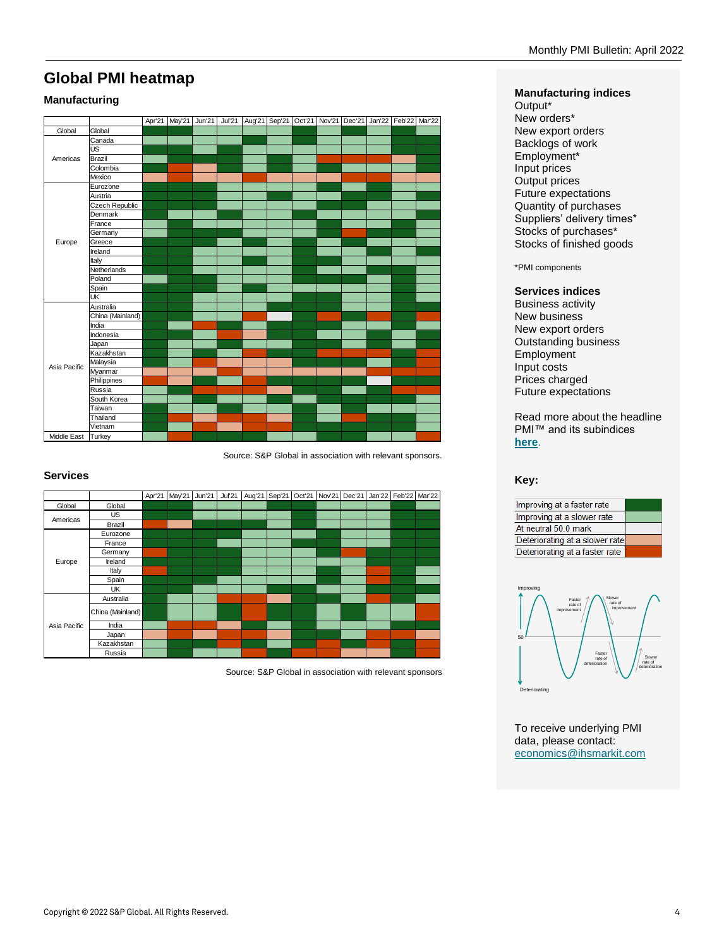## **Global PMI heatmap**

#### **Manufacturing**

|                    |                       |  |  |  |  |  | Apr'21   May'21   Jun'21   Jul'21   Aug'21   Sep'21   Oct'21   Nov'21   Dec'21   Jan'22   Feb'22   Mar'22 |
|--------------------|-----------------------|--|--|--|--|--|-----------------------------------------------------------------------------------------------------------|
| Global             | Global                |  |  |  |  |  |                                                                                                           |
|                    | Canada                |  |  |  |  |  |                                                                                                           |
|                    | <b>US</b>             |  |  |  |  |  |                                                                                                           |
| Americas           | Brazil                |  |  |  |  |  |                                                                                                           |
|                    | Colombia              |  |  |  |  |  |                                                                                                           |
|                    | Mexico                |  |  |  |  |  |                                                                                                           |
|                    | Eurozone              |  |  |  |  |  |                                                                                                           |
|                    | Austria               |  |  |  |  |  |                                                                                                           |
|                    | <b>Czech Republic</b> |  |  |  |  |  |                                                                                                           |
|                    | Denmark               |  |  |  |  |  |                                                                                                           |
|                    | France                |  |  |  |  |  |                                                                                                           |
|                    | Germany               |  |  |  |  |  |                                                                                                           |
| Europe             | Greece                |  |  |  |  |  |                                                                                                           |
|                    | Ireland               |  |  |  |  |  |                                                                                                           |
|                    | Italy                 |  |  |  |  |  |                                                                                                           |
|                    | Netherlands           |  |  |  |  |  |                                                                                                           |
|                    | Poland                |  |  |  |  |  |                                                                                                           |
|                    | Spain                 |  |  |  |  |  |                                                                                                           |
|                    | UK                    |  |  |  |  |  |                                                                                                           |
|                    | Australia             |  |  |  |  |  |                                                                                                           |
|                    | China (Mainland)      |  |  |  |  |  |                                                                                                           |
|                    | India                 |  |  |  |  |  |                                                                                                           |
|                    | Indonesia             |  |  |  |  |  |                                                                                                           |
|                    | Japan                 |  |  |  |  |  |                                                                                                           |
|                    | Kazakhstan            |  |  |  |  |  |                                                                                                           |
| Asia Pacific       | Malaysia              |  |  |  |  |  |                                                                                                           |
|                    | Myanmar               |  |  |  |  |  |                                                                                                           |
|                    | Philippines           |  |  |  |  |  |                                                                                                           |
|                    | Russia                |  |  |  |  |  |                                                                                                           |
|                    | South Korea           |  |  |  |  |  |                                                                                                           |
|                    | Taiwan                |  |  |  |  |  |                                                                                                           |
|                    | Thailand              |  |  |  |  |  |                                                                                                           |
|                    | Vietnam               |  |  |  |  |  |                                                                                                           |
| Middle East Turkey |                       |  |  |  |  |  |                                                                                                           |

Source: S&P Global in association with relevant sponsors.

#### **Services**

|              |                  |  |  |  |  |  | Apr'21   May'21   Jun'21   Jul'21   Aug'21   Sep'21   Oct'21   Nov'21   Dec'21   Jan'22   Feb'22   Mar'22 |  |
|--------------|------------------|--|--|--|--|--|-----------------------------------------------------------------------------------------------------------|--|
| Global       | Global           |  |  |  |  |  |                                                                                                           |  |
| Americas     | <b>US</b>        |  |  |  |  |  |                                                                                                           |  |
|              | Brazil           |  |  |  |  |  |                                                                                                           |  |
|              | Eurozone         |  |  |  |  |  |                                                                                                           |  |
|              | France           |  |  |  |  |  |                                                                                                           |  |
|              | Germany          |  |  |  |  |  |                                                                                                           |  |
| Europe       | Ireland          |  |  |  |  |  |                                                                                                           |  |
|              | Italy            |  |  |  |  |  |                                                                                                           |  |
|              | Spain            |  |  |  |  |  |                                                                                                           |  |
|              | UK               |  |  |  |  |  |                                                                                                           |  |
|              | Australia        |  |  |  |  |  |                                                                                                           |  |
|              | China (Mainland) |  |  |  |  |  |                                                                                                           |  |
| Asia Pacific | India            |  |  |  |  |  |                                                                                                           |  |
|              | Japan            |  |  |  |  |  |                                                                                                           |  |
|              | Kazakhstan       |  |  |  |  |  |                                                                                                           |  |
|              | Russia           |  |  |  |  |  |                                                                                                           |  |

Source: S&P Global in association with relevant sponsors

#### **Manufacturing indices**

Output\* New orders\* New export orders Backlogs of work Employment\* Input prices Output prices Future expectations Quantity of purchases Suppliers' delivery times\* Stocks of purchases\* Stocks of finished goods

\*PMI components

#### **Services indices**

Business activity New business New export orders Outstanding business Employment Input costs Prices charged Future expectations

Read more about the headline PMI™ and its subindices **[here](https://ihsmarkit.com/research-analysis/understanding-the-headline-pmi-and-its-subindices.html)**.

**Key:**





To receive underlying PMI data, please contact: [economics@ihsmarkit.com](mailto:economics@ihsmarkit.com)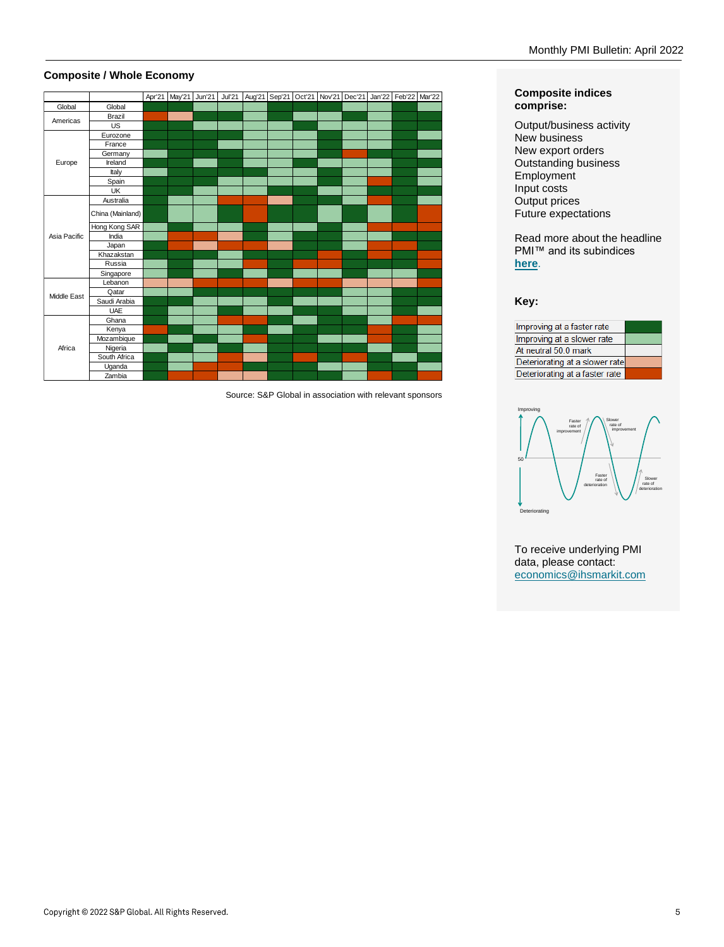#### **Composite / Whole Economy**

|              |                  |  |  | Apr'21   May'21   Jun'21   Jul'21   Aug'21   Sep'21   Oct'21   Nov'21   Dec'21   Jan'22   Feb'22   Mar'22 |  |  |  |  |
|--------------|------------------|--|--|-----------------------------------------------------------------------------------------------------------|--|--|--|--|
| Global       | Global           |  |  |                                                                                                           |  |  |  |  |
| Americas     | Brazil           |  |  |                                                                                                           |  |  |  |  |
|              | US               |  |  |                                                                                                           |  |  |  |  |
|              | Eurozone         |  |  |                                                                                                           |  |  |  |  |
|              | France           |  |  |                                                                                                           |  |  |  |  |
|              | Germany          |  |  |                                                                                                           |  |  |  |  |
| Europe       | Ireland          |  |  |                                                                                                           |  |  |  |  |
|              | Italy            |  |  |                                                                                                           |  |  |  |  |
|              | Spain            |  |  |                                                                                                           |  |  |  |  |
|              | UK               |  |  |                                                                                                           |  |  |  |  |
|              | Australia        |  |  |                                                                                                           |  |  |  |  |
|              | China (Mainland) |  |  |                                                                                                           |  |  |  |  |
|              | Hong Kong SAR    |  |  |                                                                                                           |  |  |  |  |
| Asia Pacific | India            |  |  |                                                                                                           |  |  |  |  |
|              | Japan            |  |  |                                                                                                           |  |  |  |  |
|              | Khazakstan       |  |  |                                                                                                           |  |  |  |  |
|              | Russia           |  |  |                                                                                                           |  |  |  |  |
|              | Singapore        |  |  |                                                                                                           |  |  |  |  |
|              | Lebanon          |  |  |                                                                                                           |  |  |  |  |
| Middle East  | Qatar            |  |  |                                                                                                           |  |  |  |  |
|              | Saudi Arabia     |  |  |                                                                                                           |  |  |  |  |
|              | UAE              |  |  |                                                                                                           |  |  |  |  |
|              | Ghana            |  |  |                                                                                                           |  |  |  |  |
|              | Kenya            |  |  |                                                                                                           |  |  |  |  |
|              | Mozambique       |  |  |                                                                                                           |  |  |  |  |
| Africa       | Nigeria          |  |  |                                                                                                           |  |  |  |  |
|              | South Africa     |  |  |                                                                                                           |  |  |  |  |
|              | Uganda           |  |  |                                                                                                           |  |  |  |  |
|              | Zambia           |  |  |                                                                                                           |  |  |  |  |

Source: S&P Global in association with relevant sponsors

#### **Composite indices comprise:**

Output/business activity New business New export orders Outstanding business Employment Input costs Output prices Future expectations

Read more about the headline PMI™ and its subindices **[here](https://ihsmarkit.com/research-analysis/understanding-the-headline-pmi-and-its-subindices.html)**.

**Key:**





To receive underlying PMI data, please contact: [economics@ihsmarkit.com](mailto:economics@ihsmarkit.com)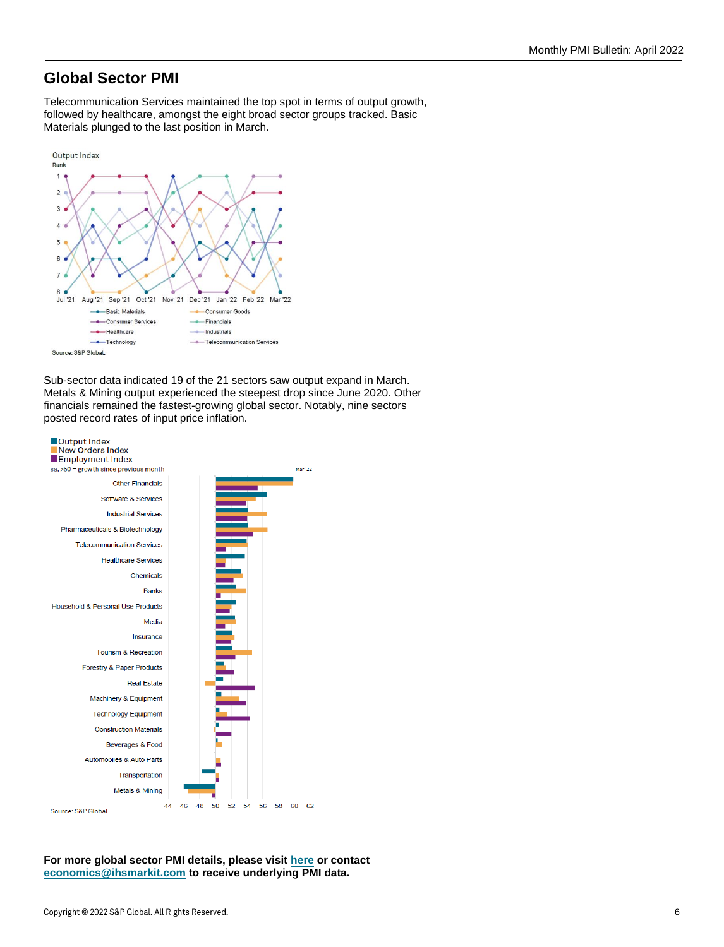## **Global Sector PMI**

Telecommunication Services maintained the top spot in terms of output growth, followed by healthcare, amongst the eight broad sector groups tracked. Basic Materials plunged to the last position in March.



Sub-sector data indicated 19 of the 21 sectors saw output expand in March. Metals & Mining output experienced the steepest drop since June 2020. Other financials remained the fastest-growing global sector. Notably, nine sectors posted record rates of input price inflation.



**For more global sector PMI details, please visit [here](https://www.markiteconomics.com/Public/Home/PressRelease/bd43b1bf75094bb980632ca48fdb846a) or contact [economics@ihsmarkit.com](mailto:economics@ihsmarkit.com) to receive underlying PMI data.**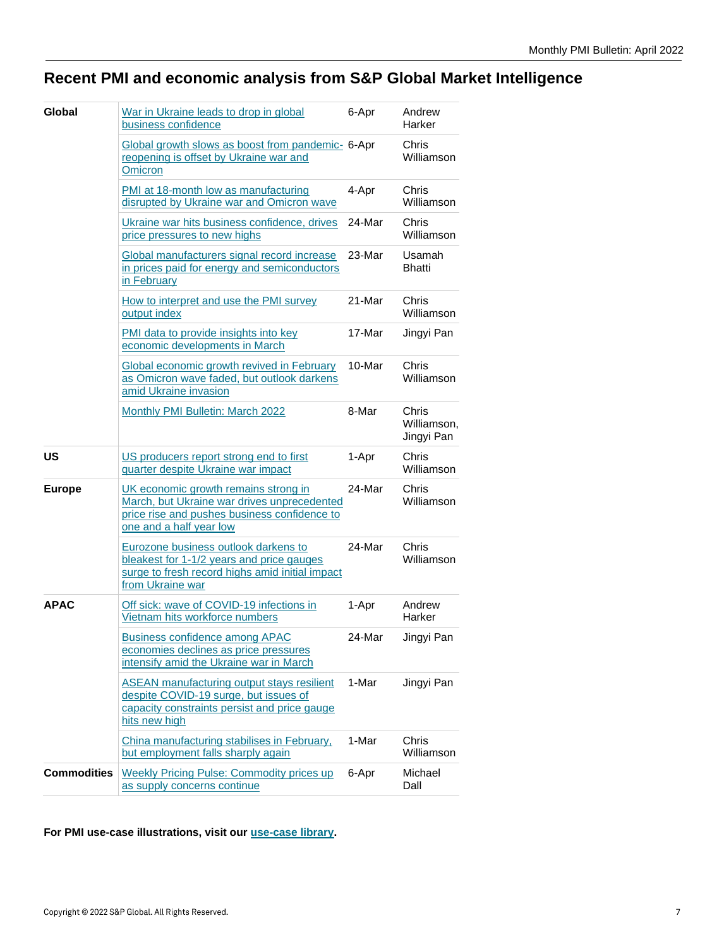# **Recent PMI and economic analysis from S&P Global Market Intelligence**

| <b>Global</b>      | War in Ukraine leads to drop in global<br>business confidence                                                                                                  | 6-Apr  | Andrew<br>Harker                   |
|--------------------|----------------------------------------------------------------------------------------------------------------------------------------------------------------|--------|------------------------------------|
|                    | Global growth slows as boost from pandemic- 6-Apr<br>reopening is offset by Ukraine war and<br><b>Omicron</b>                                                  |        | Chris<br>Williamson                |
|                    | PMI at 18-month low as manufacturing<br>disrupted by Ukraine war and Omicron wave                                                                              | 4-Apr  | Chris<br>Williamson                |
|                    | Ukraine war hits business confidence, drives<br>price pressures to new highs                                                                                   | 24-Mar | Chris<br>Williamson                |
|                    | Global manufacturers signal record increase<br>in prices paid for energy and semiconductors<br>in February                                                     | 23-Mar | Usamah<br><b>Bhatti</b>            |
|                    | How to interpret and use the PMI survey<br>output index                                                                                                        | 21-Mar | Chris<br>Williamson                |
|                    | PMI data to provide insights into key<br>economic developments in March                                                                                        | 17-Mar | Jingyi Pan                         |
|                    | Global economic growth revived in February<br>as Omicron wave faded, but outlook darkens<br>amid Ukraine invasion                                              | 10-Mar | Chris<br>Williamson                |
|                    | Monthly PMI Bulletin: March 2022                                                                                                                               | 8-Mar  | Chris<br>Williamson,<br>Jingyi Pan |
| <b>US</b>          | US producers report strong end to first<br>guarter despite Ukraine war impact                                                                                  | 1-Apr  | Chris<br>Williamson                |
| <b>Europe</b>      | UK economic growth remains strong in<br>March, but Ukraine war drives unprecedented<br>price rise and pushes business confidence to<br>one and a half year low | 24-Mar | Chris<br>Williamson                |
|                    | Eurozone business outlook darkens to<br>bleakest for 1-1/2 years and price gauges<br>surge to fresh record highs amid initial impact<br>from Ukraine war       | 24-Mar | Chris<br>Williamson                |
| <b>APAC</b>        | Off sick: wave of COVID-19 infections in<br>Vietnam hits workforce numbers                                                                                     | 1-Apr  | Andrew<br>Harker                   |
|                    | <b>Business confidence among APAC</b><br>economies declines as price pressures<br>intensify amid the Ukraine war in March                                      | 24-Mar | Jingyi Pan                         |
|                    | <b>ASEAN manufacturing output stays resilient</b><br>despite COVID-19 surge, but issues of<br>capacity constraints persist and price gauge<br>hits new high    | 1-Mar  | Jingyi Pan                         |
|                    | China manufacturing stabilises in February.<br>but employment falls sharply again                                                                              | 1-Mar  | Chris<br>Williamson                |
| <b>Commodities</b> | <b>Weekly Pricing Pulse: Commodity prices up</b><br>as supply concerns continue                                                                                | 6-Apr  | Michael<br>Dall                    |

**For PMI use-case illustrations, visit our [use-case library.](https://ihsmarkit.com/research-analysis/third-party-articles-illustrating-pmi.html)**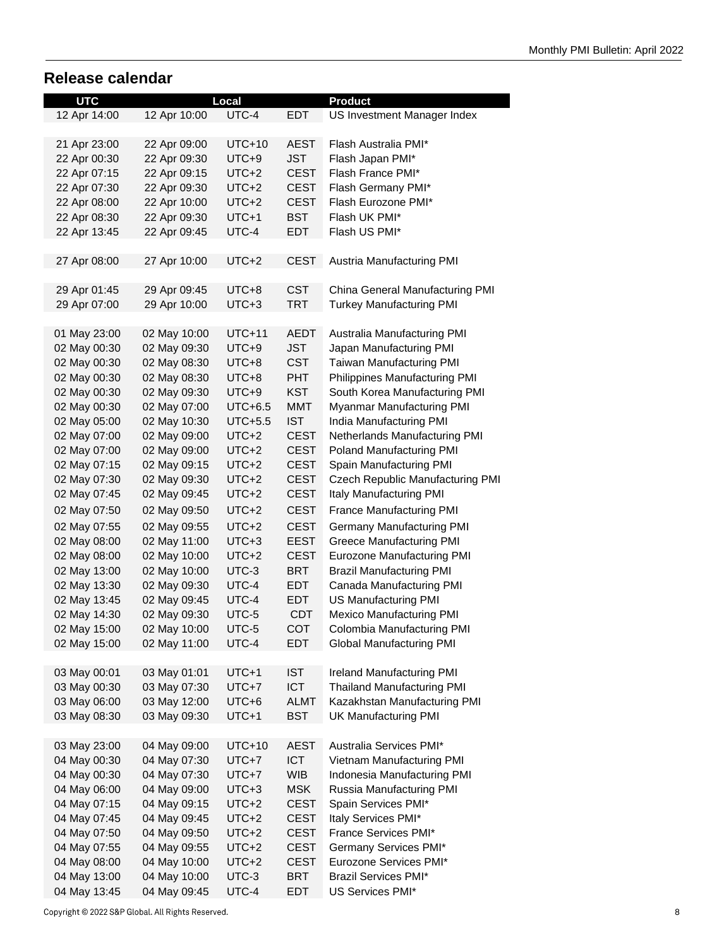## **Release calendar**

| <b>UTC</b>   |              | Local     |             | <b>Product</b>                          |  |  |  |
|--------------|--------------|-----------|-------------|-----------------------------------------|--|--|--|
| 12 Apr 14:00 | 12 Apr 10:00 | UTC-4     | EDT         | US Investment Manager Index             |  |  |  |
|              |              |           |             |                                         |  |  |  |
| 21 Apr 23:00 | 22 Apr 09:00 | $UTC+10$  | <b>AEST</b> | Flash Australia PMI*                    |  |  |  |
| 22 Apr 00:30 | 22 Apr 09:30 | $UTC+9$   | <b>JST</b>  | Flash Japan PMI*                        |  |  |  |
| 22 Apr 07:15 | 22 Apr 09:15 | $UTC+2$   | <b>CEST</b> | Flash France PMI*                       |  |  |  |
|              |              |           |             |                                         |  |  |  |
| 22 Apr 07:30 | 22 Apr 09:30 | $UTC+2$   | <b>CEST</b> | Flash Germany PMI*                      |  |  |  |
| 22 Apr 08:00 | 22 Apr 10:00 | $UTC+2$   | <b>CEST</b> | Flash Eurozone PMI*                     |  |  |  |
| 22 Apr 08:30 | 22 Apr 09:30 | UTC+1     | <b>BST</b>  | Flash UK PMI*                           |  |  |  |
| 22 Apr 13:45 | 22 Apr 09:45 | UTC-4     | EDT         | Flash US PMI*                           |  |  |  |
|              |              |           |             |                                         |  |  |  |
| 27 Apr 08:00 | 27 Apr 10:00 | $UTC+2$   | <b>CEST</b> | Austria Manufacturing PMI               |  |  |  |
|              |              |           |             |                                         |  |  |  |
| 29 Apr 01:45 | 29 Apr 09:45 | UTC+8     | <b>CST</b>  | China General Manufacturing PMI         |  |  |  |
| 29 Apr 07:00 | 29 Apr 10:00 | UTC+3     | <b>TRT</b>  | <b>Turkey Manufacturing PMI</b>         |  |  |  |
|              |              |           |             |                                         |  |  |  |
| 01 May 23:00 | 02 May 10:00 | $UTC+11$  | <b>AEDT</b> | Australia Manufacturing PMI             |  |  |  |
| 02 May 00:30 | 02 May 09:30 | UTC+9     | <b>JST</b>  | Japan Manufacturing PMI                 |  |  |  |
| 02 May 00:30 | 02 May 08:30 | UTC+8     | <b>CST</b>  | Taiwan Manufacturing PMI                |  |  |  |
| 02 May 00:30 | 02 May 08:30 | UTC+8     | <b>PHT</b>  | Philippines Manufacturing PMI           |  |  |  |
| 02 May 00:30 | 02 May 09:30 | UTC+9     | <b>KST</b>  | South Korea Manufacturing PMI           |  |  |  |
| 02 May 00:30 | 02 May 07:00 | $UTC+6.5$ | <b>MMT</b>  | Myanmar Manufacturing PMI               |  |  |  |
| 02 May 05:00 | 02 May 10:30 | $UTC+5.5$ | <b>IST</b>  | India Manufacturing PMI                 |  |  |  |
| 02 May 07:00 | 02 May 09:00 | $UTC+2$   | <b>CEST</b> | Netherlands Manufacturing PMI           |  |  |  |
|              | 02 May 09:00 | $UTC+2$   | <b>CEST</b> |                                         |  |  |  |
| 02 May 07:00 |              |           |             | Poland Manufacturing PMI                |  |  |  |
| 02 May 07:15 | 02 May 09:15 | $UTC+2$   | <b>CEST</b> | Spain Manufacturing PMI                 |  |  |  |
| 02 May 07:30 | 02 May 09:30 | UTC+2     | <b>CEST</b> | <b>Czech Republic Manufacturing PMI</b> |  |  |  |
| 02 May 07:45 | 02 May 09:45 | UTC+2     | <b>CEST</b> | Italy Manufacturing PMI                 |  |  |  |
| 02 May 07:50 | 02 May 09:50 | $UTC+2$   | <b>CEST</b> | <b>France Manufacturing PMI</b>         |  |  |  |
| 02 May 07:55 | 02 May 09:55 | $UTC+2$   | <b>CEST</b> | Germany Manufacturing PMI               |  |  |  |
| 02 May 08:00 | 02 May 11:00 | $UTC+3$   | <b>EEST</b> | <b>Greece Manufacturing PMI</b>         |  |  |  |
| 02 May 08:00 | 02 May 10:00 | $UTC+2$   | <b>CEST</b> | Eurozone Manufacturing PMI              |  |  |  |
| 02 May 13:00 | 02 May 10:00 | UTC-3     | <b>BRT</b>  | <b>Brazil Manufacturing PMI</b>         |  |  |  |
| 02 May 13:30 | 02 May 09:30 | UTC-4     | EDT         | Canada Manufacturing PMI                |  |  |  |
| 02 May 13:45 | 02 May 09:45 | UTC-4     | <b>EDT</b>  | US Manufacturing PMI                    |  |  |  |
| 02 May 14:30 | 02 May 09:30 | UTC-5     | <b>CDT</b>  | Mexico Manufacturing PMI                |  |  |  |
| 02 May 15:00 | 02 May 10:00 | UTC-5     | COT         | Colombia Manufacturing PMI              |  |  |  |
| 02 May 15:00 | 02 May 11:00 | UTC-4     | <b>EDT</b>  | Global Manufacturing PMI                |  |  |  |
|              |              |           |             |                                         |  |  |  |
| 03 May 00:01 | 03 May 01:01 | UTC+1     | <b>IST</b>  | Ireland Manufacturing PMI               |  |  |  |
|              | 03 May 07:30 |           |             | <b>Thailand Manufacturing PMI</b>       |  |  |  |
| 03 May 00:30 |              | $UTC+7$   | ICT         |                                         |  |  |  |
| 03 May 06:00 | 03 May 12:00 | UTC+6     | <b>ALMT</b> | Kazakhstan Manufacturing PMI            |  |  |  |
| 03 May 08:30 | 03 May 09:30 | UTC+1     | <b>BST</b>  | <b>UK Manufacturing PMI</b>             |  |  |  |
|              |              |           |             |                                         |  |  |  |
| 03 May 23:00 | 04 May 09:00 | UTC+10    | <b>AEST</b> | Australia Services PMI*                 |  |  |  |
| 04 May 00:30 | 04 May 07:30 | UTC+7     | <b>ICT</b>  | Vietnam Manufacturing PMI               |  |  |  |
| 04 May 00:30 | 04 May 07:30 | $UTC+7$   | <b>WIB</b>  | Indonesia Manufacturing PMI             |  |  |  |
| 04 May 06:00 | 04 May 09:00 | $UTC+3$   | <b>MSK</b>  | Russia Manufacturing PMI                |  |  |  |
| 04 May 07:15 | 04 May 09:15 | UTC+2     | <b>CEST</b> | Spain Services PMI*                     |  |  |  |
| 04 May 07:45 | 04 May 09:45 | UTC+2     | <b>CEST</b> | Italy Services PMI*                     |  |  |  |
| 04 May 07:50 | 04 May 09:50 | UTC+2     | <b>CEST</b> | France Services PMI*                    |  |  |  |
| 04 May 07:55 | 04 May 09:55 | UTC+2     | <b>CEST</b> | Germany Services PMI*                   |  |  |  |
| 04 May 08:00 | 04 May 10:00 | UTC+2     | <b>CEST</b> | Eurozone Services PMI*                  |  |  |  |
| 04 May 13:00 | 04 May 10:00 | UTC-3     | BRT         | <b>Brazil Services PMI*</b>             |  |  |  |
| 04 May 13:45 | 04 May 09:45 | UTC-4     | EDT         | US Services PMI*                        |  |  |  |

Copyright @ 2022 S&P Global. All Rights Reserved.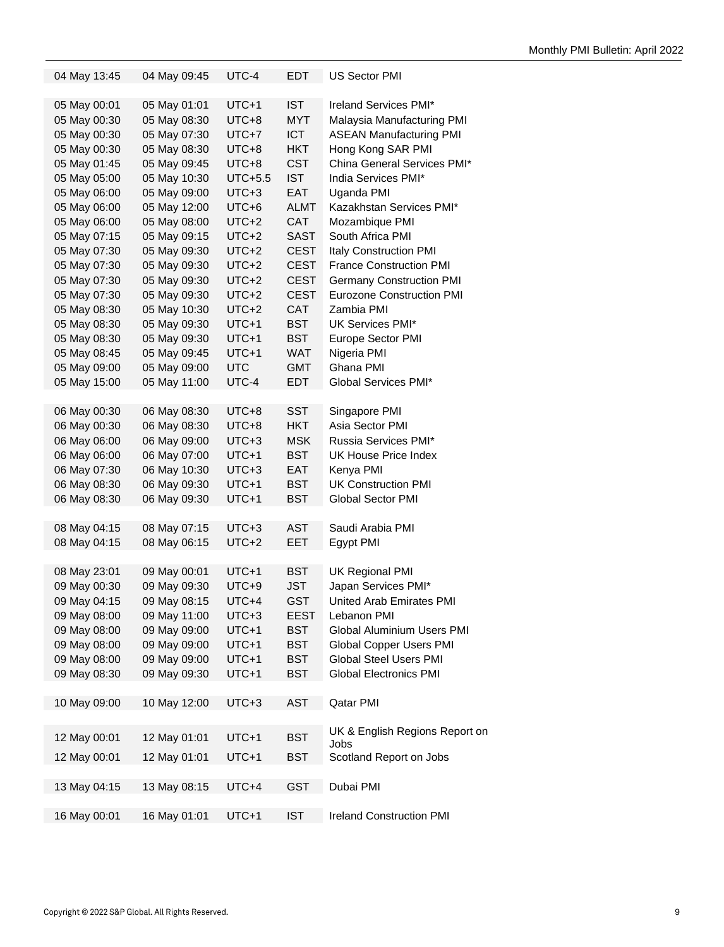| 04 May 13:45 | 04 May 09:45 | UTC-4     | <b>EDT</b>  | US Sector PMI                     |
|--------------|--------------|-----------|-------------|-----------------------------------|
| 05 May 00:01 | 05 May 01:01 | UTC+1     | <b>IST</b>  | Ireland Services PMI*             |
| 05 May 00:30 | 05 May 08:30 | UTC+8     | MYT         | Malaysia Manufacturing PMI        |
| 05 May 00:30 | 05 May 07:30 | $UTC+7$   | <b>ICT</b>  | <b>ASEAN Manufacturing PMI</b>    |
| 05 May 00:30 | 05 May 08:30 | UTC+8     | HKT         | Hong Kong SAR PMI                 |
| 05 May 01:45 | 05 May 09:45 | UTC+8     | <b>CST</b>  | China General Services PMI*       |
| 05 May 05:00 | 05 May 10:30 | $UTC+5.5$ | <b>IST</b>  | India Services PMI*               |
| 05 May 06:00 | 05 May 09:00 | UTC+3     | <b>EAT</b>  | Uganda PMI                        |
| 05 May 06:00 | 05 May 12:00 | UTC+6     | <b>ALMT</b> | Kazakhstan Services PMI*          |
| 05 May 06:00 | 05 May 08:00 | $UTC+2$   | <b>CAT</b>  | Mozambique PMI                    |
| 05 May 07:15 | 05 May 09:15 | UTC+2     | SAST        | South Africa PMI                  |
| 05 May 07:30 | 05 May 09:30 | UTC+2     | <b>CEST</b> | <b>Italy Construction PMI</b>     |
| 05 May 07:30 | 05 May 09:30 | UTC+2     | <b>CEST</b> | <b>France Construction PMI</b>    |
|              |              |           | <b>CEST</b> |                                   |
| 05 May 07:30 | 05 May 09:30 | UTC+2     |             | <b>Germany Construction PMI</b>   |
| 05 May 07:30 | 05 May 09:30 | UTC+2     | <b>CEST</b> | <b>Eurozone Construction PMI</b>  |
| 05 May 08:30 | 05 May 10:30 | $UTC+2$   | <b>CAT</b>  | Zambia PMI                        |
| 05 May 08:30 | 05 May 09:30 | UTC+1     | BST         | UK Services PMI*                  |
| 05 May 08:30 | 05 May 09:30 | UTC+1     | BST         | Europe Sector PMI                 |
| 05 May 08:45 | 05 May 09:45 | UTC+1     | <b>WAT</b>  | Nigeria PMI                       |
| 05 May 09:00 | 05 May 09:00 | UTC       | <b>GMT</b>  | Ghana PMI                         |
| 05 May 15:00 | 05 May 11:00 | UTC-4     | EDT         | Global Services PMI*              |
| 06 May 00:30 | 06 May 08:30 | UTC+8     | SST         | Singapore PMI                     |
| 06 May 00:30 | 06 May 08:30 | UTC+8     | <b>HKT</b>  | Asia Sector PMI                   |
| 06 May 06:00 | 06 May 09:00 | UTC+3     | <b>MSK</b>  | Russia Services PMI*              |
| 06 May 06:00 | 06 May 07:00 | UTC+1     | BST         | UK House Price Index              |
|              |              |           |             |                                   |
| 06 May 07:30 | 06 May 10:30 | UTC+3     | EAT         | Kenya PMI                         |
| 06 May 08:30 | 06 May 09:30 | UTC+1     | BST         | <b>UK Construction PMI</b>        |
| 06 May 08:30 | 06 May 09:30 | UTC+1     | BST         | <b>Global Sector PMI</b>          |
| 08 May 04:15 | 08 May 07:15 | UTC+3     | AST         | Saudi Arabia PMI                  |
| 08 May 04:15 | 08 May 06:15 | UTC+2     | <b>EET</b>  | Egypt PMI                         |
|              |              |           |             |                                   |
| 08 May 23:01 | 09 May 00:01 | UTC+1     | BST         | UK Regional PMI                   |
| 09 May 00:30 | 09 May 09:30 | UTC+9     | JST         | Japan Services PMI*               |
| 09 May 04:15 | 09 May 08:15 | UTC+4     | GST         | United Arab Emirates PMI          |
| 09 May 08:00 | 09 May 11:00 | UTC+3     | <b>EEST</b> | Lebanon PMI                       |
| 09 May 08:00 | 09 May 09:00 | UTC+1     | BST         | <b>Global Aluminium Users PMI</b> |
| 09 May 08:00 | 09 May 09:00 | UTC+1     | <b>BST</b>  | <b>Global Copper Users PMI</b>    |
| 09 May 08:00 | 09 May 09:00 | UTC+1     | BST         | <b>Global Steel Users PMI</b>     |
| 09 May 08:30 | 09 May 09:30 | UTC+1     | <b>BST</b>  | <b>Global Electronics PMI</b>     |
|              | 10 May 12:00 | UTC+3     | <b>AST</b>  | Qatar PMI                         |
| 10 May 09:00 |              |           |             |                                   |
| 12 May 00:01 | 12 May 01:01 | UTC+1     | <b>BST</b>  | UK & English Regions Report on    |
|              |              |           |             | <b>Jobs</b>                       |
| 12 May 00:01 | 12 May 01:01 | UTC+1     | BST         | Scotland Report on Jobs           |
| 13 May 04:15 | 13 May 08:15 | UTC+4     | <b>GST</b>  | Dubai PMI                         |
|              |              |           |             |                                   |
| 16 May 00:01 | 16 May 01:01 | UTC+1     | <b>IST</b>  | <b>Ireland Construction PMI</b>   |